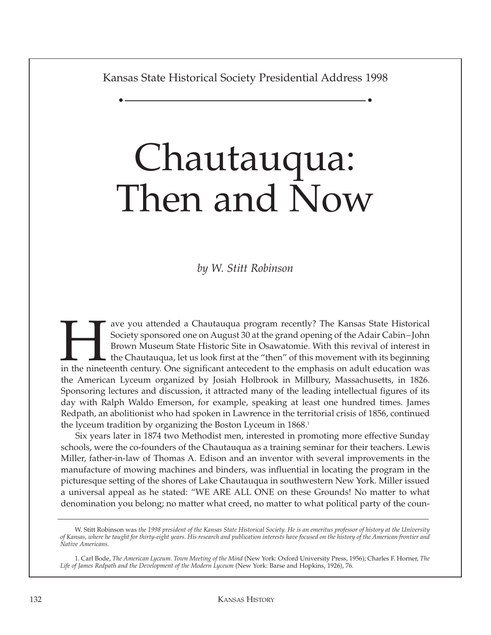Kansas State Historical Society Presidential Address 1998

• •

## Chautauqua: Then and Now

*by W. Stitt Robinson*

External Society sponsored one on August 30 at the grand opening of the Adair Cabin–John<br>Brown Museum State Historic Site in Osawatomie. With this revival of interest in<br>the Chautauqua, let us look first at the "then" of t Society sponsored one on August 30 at the grand opening of the Adair Cabin–John Brown Museum State Historic Site in Osawatomie. With this revival of interest in  $\blacksquare$  the Chautauqua, let us look first at the "then" of this movement with its beginning the American Lyceum organized by Josiah Holbrook in Millbury, Massachusetts, in 1826. Sponsoring lectures and discussion, it attracted many of the leading intellectual figures of its day with Ralph Waldo Emerson, for example, speaking at least one hundred times. James Redpath, an abolitionist who had spoken in Lawrence in the territorial crisis of 1856, continued the lyceum tradition by organizing the Boston Lyceum in 1868.<sup>1</sup>

Six years later in 1874 two Methodist men, interested in promoting more effective Sunday schools, were the co-founders of the Chautauqua as a training seminar for their teachers. Lewis Miller, father-in-law of Thomas A. Edison and an inventor with several improvements in the manufacture of mowing machines and binders, was influential in locating the program in the picturesque setting of the shores of Lake Chautauqua in southwestern New York. Miller issued a universal appeal as he stated: "WE ARE ALL ONE on these Grounds! No matter to what denomination you belong; no matter what creed, no matter to what political party of the coun-

W. Stitt Robinson was *the 1998 president of the Kansas State Historical Society. He is an emeritus professor of history at the University of Kansas, where he taught for thirty-eight years. His research and publication interests have focused on the history of the American frontier and Native Americans.* 

<sup>1.</sup> Carl Bode, *The American Lyceum. Town Meeting of the Mind* (New York: Oxford University Press, 1956); Charles F. Horner, *The Life of James Redpath and the Development of the Modern Lyceum* (New York: Barse and Hopkins, 1926), 76.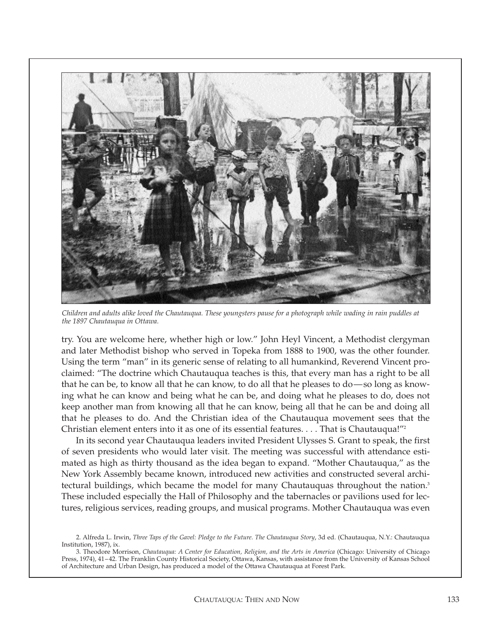

*Children and adults alike loved the Chautauqua. These youngsters pause for a photograph while wading in rain puddles at the 1897 Chautauqua in Ottawa.*

try. You are welcome here, whether high or low." John Heyl Vincent, a Methodist clergyman and later Methodist bishop who served in Topeka from 1888 to 1900, was the other founder. Using the term "man" in its generic sense of relating to all humankind, Reverend Vincent proclaimed: "The doctrine which Chautauqua teaches is this, that every man has a right to be all that he can be, to know all that he can know, to do all that he pleases to do—so long as knowing what he can know and being what he can be, and doing what he pleases to do, does not keep another man from knowing all that he can know, being all that he can be and doing all that he pleases to do. And the Christian idea of the Chautauqua movement sees that the Christian element enters into it as one of its essential features. . . . That is Chautauqua!"2

In its second year Chautauqua leaders invited President Ulysses S. Grant to speak, the first of seven presidents who would later visit. The meeting was successful with attendance estimated as high as thirty thousand as the idea began to expand. "Mother Chautauqua," as the New York Assembly became known, introduced new activities and constructed several architectural buildings, which became the model for many Chautauquas throughout the nation.<sup>3</sup> These included especially the Hall of Philosophy and the tabernacles or pavilions used for lectures, religious services, reading groups, and musical programs. Mother Chautauqua was even

<sup>2.</sup> Alfreda L. Irwin, *Three Taps of the Gavel: Pledge to the Future. The Chautauqua Story*, 3d ed. (Chautauqua, N.Y.: Chautauqua Institution, 1987), ix.

<sup>3.</sup> Theodore Morrison, *Chautauqua: A Center for Education, Religion, and the Arts in America* (Chicago: University of Chicago Press, 1974), 41–42. The Franklin County Historical Society, Ottawa, Kansas, with assistance from the University of Kansas School of Architecture and Urban Design, has produced a model of the Ottawa Chautauqua at Forest Park.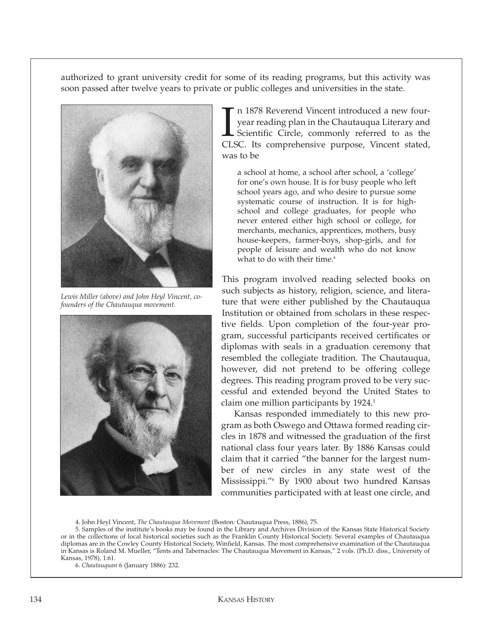authorized to grant university credit for some of its reading programs, but this activity was soon passed after twelve years to private or public colleges and universities in the state.



*Lewis Miller (above) and John Heyl Vincent, cofounders of the Chautauqua movement.*



In 1878 Reverend Vincent introduced a new four-<br>year reading plan in the Chautauqua Literary and<br>Scientific Circle, commonly referred to as the<br>CLSC. Its comprehensive purpose, Vincent stated, n 1878 Reverend Vincent introduced a new fouryear reading plan in the Chautauqua Literary and Scientific Circle, commonly referred to as the was to be

a school at home, a school after school, a 'college' for one's own house. It is for busy people who left school years ago, and who desire to pursue some systematic course of instruction. It is for highschool and college graduates, for people who never entered either high school or college, for merchants, mechanics, apprentices, mothers, busy house-keepers, farmer-boys, shop-girls, and for people of leisure and wealth who do not know what to do with their time.<sup>4</sup>

This program involved reading selected books on such subjects as history, religion, science, and literature that were either published by the Chautauqua Institution or obtained from scholars in these respective fields. Upon completion of the four-year program, successful participants received certificates or diplomas with seals in a graduation ceremony that resembled the collegiate tradition. The Chautauqua, however, did not pretend to be offering college degrees. This reading program proved to be very successful and extended beyond the United States to claim one million participants by 1924.<sup>5</sup>

Kansas responded immediately to this new program as both Oswego and Ottawa formed reading circles in 1878 and witnessed the graduation of the first national class four years later. By 1886 Kansas could claim that it carried "the banner for the largest number of new circles in any state west of the Mississippi."6 By 1900 about two hundred Kansas communities participated with at least one circle, and

4. John Heyl Vincent, *The Chautauqua Movement* (Boston: Chautauqua Press, 1886), 75.

5. Samples of the institute's books may be found in the Library and Archives Division of the Kansas State Historical Society or in the collections of local historical societies such as the Franklin County Historical Society. Several examples of Chautauqua diplomas are in the Cowley County Historical Society, Winfield, Kansas. The most comprehensive examination of the Chautauqua in Kansas is Roland M. Mueller, "Tents and Tabernacles: The Chautauqua Movement in Kansas," 2 vols. (Ph.D. diss., University of Kansas, 1978), 1:61.

6. *Chautauquan* 6 (January 1886): 232.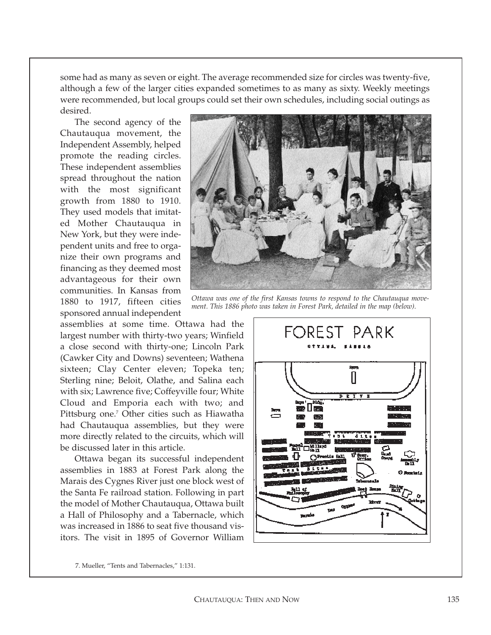some had as many as seven or eight. The average recommended size for circles was twenty-five, although a few of the larger cities expanded sometimes to as many as sixty. Weekly meetings were recommended, but local groups could set their own schedules, including social outings as desired.

The second agency of the Chautauqua movement, the Independent Assembly, helped promote the reading circles. These independent assemblies spread throughout the nation with the most significant growth from 1880 to 1910. They used models that imitated Mother Chautauqua in New York, but they were independent units and free to organize their own programs and financing as they deemed most advantageous for their own communities. In Kansas from 1880 to 1917, fifteen cities sponsored annual independent

assemblies at some time. Ottawa had the largest number with thirty-two years; Winfield a close second with thirty-one; Lincoln Park (Cawker City and Downs) seventeen; Wathena sixteen; Clay Center eleven; Topeka ten; Sterling nine; Beloit, Olathe, and Salina each with six; Lawrence five; Coffeyville four; White Cloud and Emporia each with two; and Pittsburg one.<sup>7</sup> Other cities such as Hiawatha had Chautauqua assemblies, but they were more directly related to the circuits, which will be discussed later in this article.

Ottawa began its successful independent assemblies in 1883 at Forest Park along the Marais des Cygnes River just one block west of the Santa Fe railroad station. Following in part the model of Mother Chautauqua, Ottawa built a Hall of Philosophy and a Tabernacle, which was increased in 1886 to seat five thousand visitors. The visit in 1895 of Governor William



*Ottawa was one of the first Kansas towns to respond to the Chautauqua movement. This 1886 photo was taken in Forest Park, detailed in the map (below).*



7. Mueller, "Tents and Tabernacles," 1:131.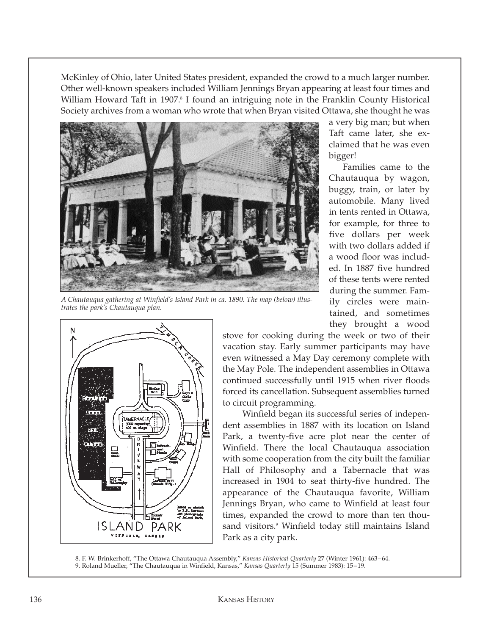McKinley of Ohio, later United States president, expanded the crowd to a much larger number. Other well-known speakers included William Jennings Bryan appearing at least four times and William Howard Taft in 1907.<sup>8</sup> I found an intriguing note in the Franklin County Historical Society archives from a woman who wrote that when Bryan visited Ottawa, she thought he was



*A Chautauqua gathering at Winfield's Island Park in ca. 1890. The map (below) illustrates the park's Chautauqua plan.*



a very big man; but when Taft came later, she exclaimed that he was even bigger!

Families came to the Chautauqua by wagon, buggy, train, or later by automobile. Many lived in tents rented in Ottawa, for example, for three to five dollars per week with two dollars added if a wood floor was included. In 1887 five hundred of these tents were rented during the summer. Family circles were maintained, and sometimes they brought a wood

stove for cooking during the week or two of their vacation stay. Early summer participants may have even witnessed a May Day ceremony complete with the May Pole. The independent assemblies in Ottawa continued successfully until 1915 when river floods forced its cancellation. Subsequent assemblies turned to circuit programming.

Winfield began its successful series of independent assemblies in 1887 with its location on Island Park, a twenty-five acre plot near the center of Winfield. There the local Chautauqua association with some cooperation from the city built the familiar Hall of Philosophy and a Tabernacle that was increased in 1904 to seat thirty-five hundred. The appearance of the Chautauqua favorite, William Jennings Bryan, who came to Winfield at least four times, expanded the crowd to more than ten thousand visitors.<sup>9</sup> Winfield today still maintains Island Park as a city park.

8. F. W. Brinkerhoff, "The Ottawa Chautauqua Assembly," *Kansas Historical Quarterly* 27 (Winter 1961): 463–64. 9. Roland Mueller, "The Chautauqua in Winfield, Kansas," *Kansas Quarterly* 15 (Summer 1983): 15–19.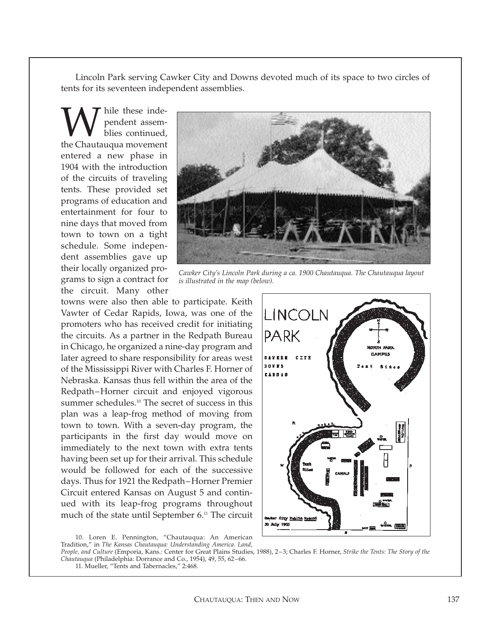Lincoln Park serving Cawker City and Downs devoted much of its space to two circles of tents for its seventeen independent assemblies.

W hile these inde-<br>blies continued,<br>the Chautauqua movement pendent assemblies continued, entered a new phase in 1904 with the introduction of the circuits of traveling tents. These provided set programs of education and entertainment for four to nine days that moved from town to town on a tight schedule. Some independent assemblies gave up their locally organized programs to sign a contract for the circuit. Many other

![](_page_5_Picture_2.jpeg)

*Cawker City's Lincoln Park during a ca. 1900 Chautauqua. The Chautauqua layout is illustrated in the map (below).*

towns were also then able to participate. Keith Vawter of Cedar Rapids, Iowa, was one of the promoters who has received credit for initiating the circuits. As a partner in the Redpath Bureau in Chicago, he organized a nine-day program and later agreed to share responsibility for areas west of the Mississippi River with Charles F. Horner of Nebraska. Kansas thus fell within the area of the Redpath–Horner circuit and enjoyed vigorous summer schedules.<sup>10</sup> The secret of success in this plan was a leap-frog method of moving from town to town. With a seven-day program, the participants in the first day would move on immediately to the next town with extra tents having been set up for their arrival. This schedule would be followed for each of the successive days. Thus for 1921 the Redpath–Horner Premier Circuit entered Kansas on August 5 and continued with its leap-frog programs throughout much of the state until September 6.<sup>11</sup> The circuit

![](_page_5_Figure_5.jpeg)

<sup>10.</sup> Loren E. Pennington, "Chautauqua: An American Tradition," in *The Kansas Chautauqua: Understanding America. Land,*

*People, and Culture* (Emporia, Kans.: Center for Great Plains Studies, 1988), 2–3; Charles F. Horner, *Strike the Tents: The Story of the Chautauqua* (Philadelphia: Dorrance and Co., 1954), 49, 55, 62–66.

11. Mueller, "Tents and Tabernacles," 2:468.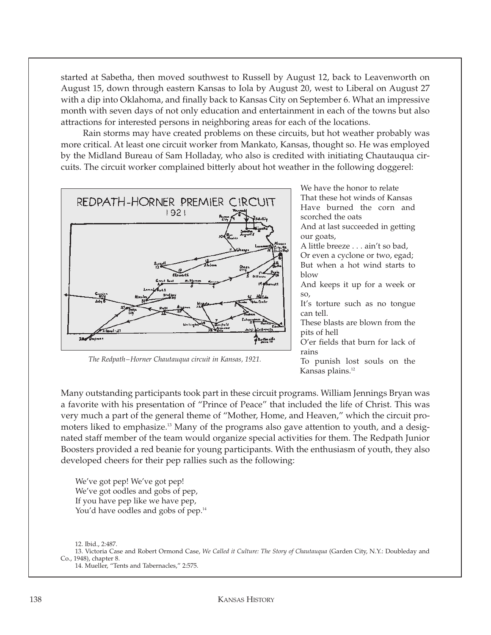started at Sabetha, then moved southwest to Russell by August 12, back to Leavenworth on August 15, down through eastern Kansas to Iola by August 20, west to Liberal on August 27 with a dip into Oklahoma, and finally back to Kansas City on September 6. What an impressive month with seven days of not only education and entertainment in each of the towns but also attractions for interested persons in neighboring areas for each of the locations.

Rain storms may have created problems on these circuits, but hot weather probably was more critical. At least one circuit worker from Mankato, Kansas, thought so. He was employed by the Midland Bureau of Sam Holladay, who also is credited with initiating Chautauqua circuits. The circuit worker complained bitterly about hot weather in the following doggerel:

![](_page_6_Figure_2.jpeg)

*The Redpath–Horner Chautauqua circuit in Kansas, 1921.*

We have the honor to relate That these hot winds of Kansas Have burned the corn and scorched the oats

And at last succeeded in getting our goats,

A little breeze . . . ain't so bad, Or even a cyclone or two, egad; But when a hot wind starts to  $h$ low

And keeps it up for a week or so,

It's torture such as no tongue can tell.

These blasts are blown from the pits of hell

O'er fields that burn for lack of rains

To punish lost souls on the Kansas plains.12

Many outstanding participants took part in these circuit programs. William Jennings Bryan was a favorite with his presentation of "Prince of Peace" that included the life of Christ. This was very much a part of the general theme of "Mother, Home, and Heaven," which the circuit promoters liked to emphasize.13 Many of the programs also gave attention to youth, and a designated staff member of the team would organize special activities for them. The Redpath Junior Boosters provided a red beanie for young participants. With the enthusiasm of youth, they also developed cheers for their pep rallies such as the following:

We've got pep! We've got pep! We've got oodles and gobs of pep, If you have pep like we have pep, You'd have oodles and gobs of pep.<sup>14</sup>

12. Ibid., 2:487.

13. Victoria Case and Robert Ormond Case, *We Called it Culture: The Story of Chautauqua* (Garden City, N.Y.: Doubleday and Co., 1948), chapter 8.

14. Mueller, "Tents and Tabernacles," 2:575.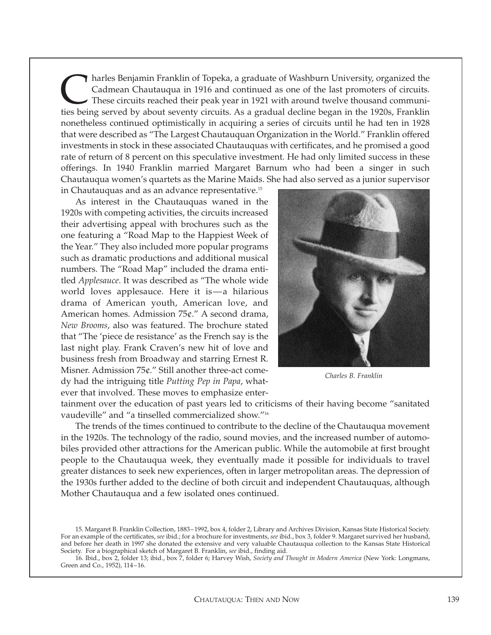In harles Benjamin Franklin of Topeka, a graduate of Washburn University, organized the Cadmean Chautauqua in 1916 and continued as one of the last promoters of circuits.<br>These circuits reached their peak year in 1921 with Cadmean Chautauqua in 1916 and continued as one of the last promoters of circuits. These circuits reached their peak year in 1921 with around twelve thousand communities being served by about seventy circuits. As a gradual decline began in the 1920s, Franklin nonetheless continued optimistically in acquiring a series of circuits until he had ten in 1928 that were described as "The Largest Chautauquan Organization in the World." Franklin offered investments in stock in these associated Chautauquas with certificates, and he promised a good rate of return of 8 percent on this speculative investment. He had only limited success in these offerings. In 1940 Franklin married Margaret Barnum who had been a singer in such Chautauqua women's quartets as the Marine Maids. She had also served as a junior supervisor in Chautauquas and as an advance representative.<sup>15</sup>

As interest in the Chautauquas waned in the 1920s with competing activities, the circuits increased their advertising appeal with brochures such as the one featuring a "Road Map to the Happiest Week of the Year." They also included more popular programs such as dramatic productions and additional musical numbers. The "Road Map" included the drama entitled *Applesauce*. It was described as "The whole wide world loves applesauce. Here it is—a hilarious drama of American youth, American love, and American homes. Admission 75¢." A second drama, *New Brooms*, also was featured. The brochure stated that "The 'piece de resistance' as the French say is the last night play. Frank Craven's new hit of love and business fresh from Broadway and starring Ernest R. Misner. Admission 75¢." Still another three-act comedy had the intriguing title *Putting Pep in Papa*, whatever that involved. These moves to emphasize enter-

![](_page_7_Picture_2.jpeg)

*Charles B. Franklin*

tainment over the education of past years led to criticisms of their having become "sanitated vaudeville" and "a tinselled commercialized show."16

The trends of the times continued to contribute to the decline of the Chautauqua movement in the 1920s. The technology of the radio, sound movies, and the increased number of automobiles provided other attractions for the American public. While the automobile at first brought people to the Chautauqua week, they eventually made it possible for individuals to travel greater distances to seek new experiences, often in larger metropolitan areas. The depression of the 1930s further added to the decline of both circuit and independent Chautauquas, although Mother Chautauqua and a few isolated ones continued.

<sup>15.</sup> Margaret B. Franklin Collection, 1883–1992, box 4, folder 2, Library and Archives Division, Kansas State Historical Society. For an example of the certificates, *see* ibid.; for a brochure for investments, *see* ibid., box 3, folder 9. Margaret survived her husband, and before her death in 1997 she donated the extensive and very valuable Chautauqua collection to the Kansas State Historical Society. For a biographical sketch of Margaret B. Franklin, *see* ibid., finding aid.

<sup>16.</sup> Ibid., box 2, folder 13; ibid., box 7, folder 6; Harvey Wish, *Society and Thought in Modern America* (New York: Longmans, Green and Co., 1952), 114–16.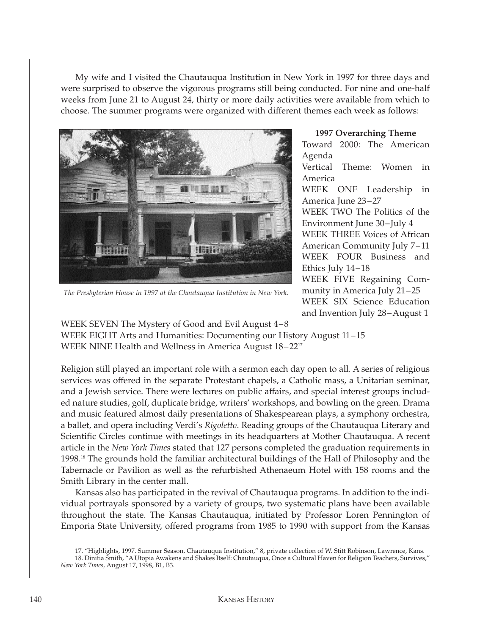My wife and I visited the Chautauqua Institution in New York in 1997 for three days and were surprised to observe the vigorous programs still being conducted. For nine and one-half weeks from June 21 to August 24, thirty or more daily activities were available from which to choose. The summer programs were organized with different themes each week as follows:

![](_page_8_Picture_1.jpeg)

*The Presbyterian House in 1997 at the Chautauqua Institution in New York.*

## **1997 Overarching Theme** Toward 2000: The American Agenda Vertical Theme: Women in America WEEK ONE Leadership in America June 23–27 WEEK TWO The Politics of the Environment June 30–July 4 WEEK THREE Voices of African American Community July 7–11 WEEK FOUR Business and Ethics July 14–18 WEEK FIVE Regaining Community in America July 21–25 WEEK SIX Science Education and Invention July 28–August 1

WEEK SEVEN The Mystery of Good and Evil August 4–8 WEEK EIGHT Arts and Humanities: Documenting our History August 11–15 WEEK NINE Health and Wellness in America August 18–2217

Religion still played an important role with a sermon each day open to all. A series of religious services was offered in the separate Protestant chapels, a Catholic mass, a Unitarian seminar, and a Jewish service. There were lectures on public affairs, and special interest groups included nature studies, golf, duplicate bridge, writers' workshops, and bowling on the green. Drama and music featured almost daily presentations of Shakespearean plays, a symphony orchestra, a ballet, and opera including Verdi's *Rigoletto*. Reading groups of the Chautauqua Literary and Scientific Circles continue with meetings in its headquarters at Mother Chautauqua. A recent article in the *New York Times* stated that 127 persons completed the graduation requirements in 1998.18 The grounds hold the familiar architectural buildings of the Hall of Philosophy and the Tabernacle or Pavilion as well as the refurbished Athenaeum Hotel with 158 rooms and the Smith Library in the center mall.

Kansas also has participated in the revival of Chautauqua programs. In addition to the individual portrayals sponsored by a variety of groups, two systematic plans have been available throughout the state. The Kansas Chautauqua, initiated by Professor Loren Pennington of Emporia State University, offered programs from 1985 to 1990 with support from the Kansas

<sup>17. &</sup>quot;Highlights, 1997. Summer Season, Chautauqua Institution," 8, private collection of W. Stitt Robinson, Lawrence, Kans. 18. Dinitia Smith, "A Utopia Awakens and Shakes Itself: Chautauqua, Once a Cultural Haven for Religion Teachers, Survives,"